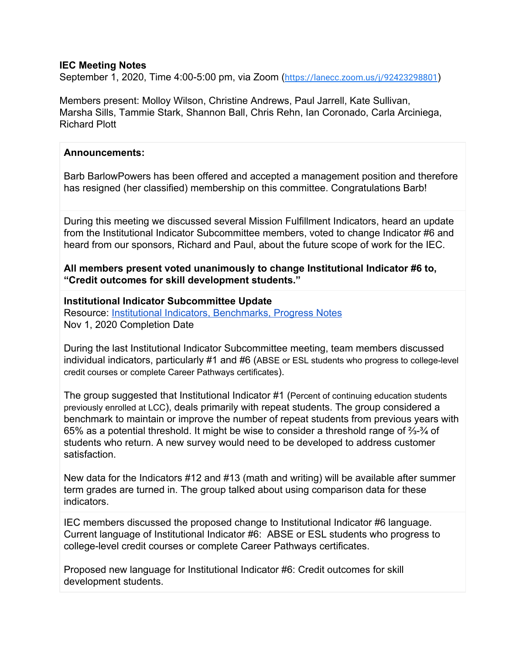### **IEC Meeting Notes**

September 1, 2020, Time 4:00-5:00 pm, via Zoom (<https://lanecc.zoom.us/j/92423298801>)

Members present: Molloy Wilson, Christine Andrews, Paul Jarrell, Kate Sullivan, Marsha Sills, Tammie Stark, Shannon Ball, Chris Rehn, Ian Coronado, Carla Arciniega, Richard Plott

#### **Announcements:**

Barb BarlowPowers has been offered and accepted a management position and therefore has resigned (her classified) membership on this committee. Congratulations Barb!

During this meeting we discussed several Mission Fulfillment Indicators, heard an update from the Institutional Indicator Subcommittee members, voted to change Indicator #6 and heard from our sponsors, Richard and Paul, about the future scope of work for the IEC.

**All members present voted unanimously to change Institutional Indicator #6 to, "Credit outcomes for skill development students."**

**Institutional Indicator Subcommittee Update** Resource: **Institutional Indicators, Benchmarks, Progress Notes** Nov 1, 2020 Completion Date

During the last Institutional Indicator Subcommittee meeting, team members discussed individual indicators, particularly #1 and #6 (ABSE or ESL students who progress to college-level credit courses or complete Career Pathways certificates).

The group suggested that Institutional Indicator #1 (Percent of continuing education students previously enrolled at LCC), deals primarily with repeat students. The group considered a benchmark to maintain or improve the number of repeat students from previous years with 65% as a potential threshold. It might be wise to consider a threshold range of ⅔-¾ of students who return. A new survey would need to be developed to address customer satisfaction.

New data for the Indicators #12 and #13 (math and writing) will be available after summer term grades are turned in. The group talked about using comparison data for these indicators.

IEC members discussed the proposed change to Institutional Indicator #6 language. Current language of Institutional Indicator #6: ABSE or ESL students who progress to college-level credit courses or complete Career Pathways certificates.

Proposed new language for Institutional Indicator #6: Credit outcomes for skill development students.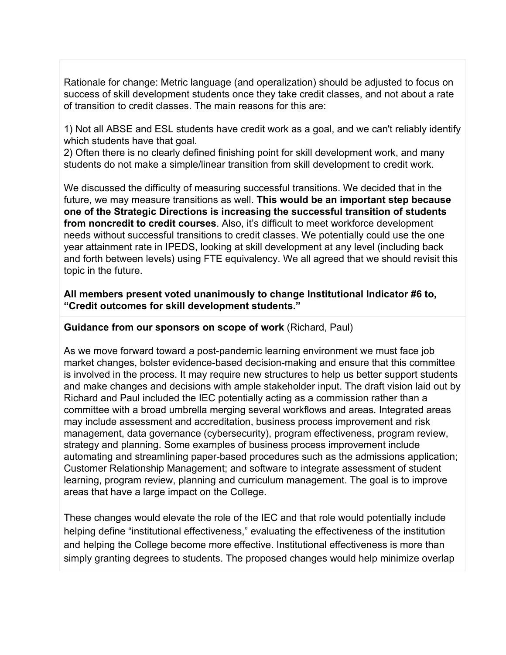Rationale for change: Metric language (and operalization) should be adjusted to focus on success of skill development students once they take credit classes, and not about a rate of transition to credit classes. The main reasons for this are:

1) Not all ABSE and ESL students have credit work as a goal, and we can't reliably identify which students have that goal.

2) Often there is no clearly defined finishing point for skill development work, and many students do not make a simple/linear transition from skill development to credit work.

We discussed the difficulty of measuring successful transitions. We decided that in the future, we may measure transitions as well. **This would be an important step because one of the Strategic Directions is increasing the successful transition of students from noncredit to credit courses**. Also, it's difficult to meet workforce development needs without successful transitions to credit classes. We potentially could use the one year attainment rate in IPEDS, looking at skill development at any level (including back and forth between levels) using FTE equivalency. We all agreed that we should revisit this topic in the future.

### **All members present voted unanimously to change Institutional Indicator #6 to, "Credit outcomes for skill development students."**

# **Guidance from our sponsors on scope of work** (Richard, Paul)

As we move forward toward a post-pandemic learning environment we must face job market changes, bolster evidence-based decision-making and ensure that this committee is involved in the process. It may require new structures to help us better support students and make changes and decisions with ample stakeholder input. The draft vision laid out by Richard and Paul included the IEC potentially acting as a commission rather than a committee with a broad umbrella merging several workflows and areas. Integrated areas may include assessment and accreditation, business process improvement and risk management, data governance (cybersecurity), program effectiveness, program review, strategy and planning. Some examples of business process improvement include automating and streamlining paper-based procedures such as the admissions application; Customer Relationship Management; and software to integrate assessment of student learning, program review, planning and curriculum management. The goal is to improve areas that have a large impact on the College.

These changes would elevate the role of the IEC and that role would potentially include helping define "institutional effectiveness," evaluating the effectiveness of the institution and helping the College become more effective. Institutional effectiveness is more than simply granting degrees to students. The proposed changes would help minimize overlap